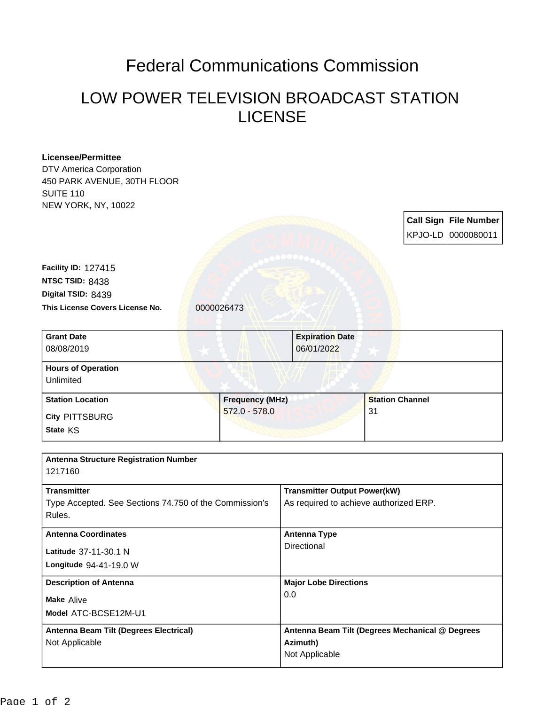## Federal Communications Commission

## LOW POWER TELEVISION BROADCAST STATION LICENSE

| <b>Licensee/Permittee</b>                              |                        |                                                 |                                        |  |                              |  |
|--------------------------------------------------------|------------------------|-------------------------------------------------|----------------------------------------|--|------------------------------|--|
| DTV America Corporation                                |                        |                                                 |                                        |  |                              |  |
| 450 PARK AVENUE, 30TH FLOOR                            |                        |                                                 |                                        |  |                              |  |
| <b>SUITE 110</b>                                       |                        |                                                 |                                        |  |                              |  |
| NEW YORK, NY, 10022                                    |                        |                                                 |                                        |  |                              |  |
|                                                        |                        |                                                 |                                        |  | <b>Call Sign File Number</b> |  |
|                                                        |                        |                                                 |                                        |  | KPJO-LD 0000080011           |  |
|                                                        |                        |                                                 |                                        |  |                              |  |
| Facility ID: 127415                                    |                        |                                                 |                                        |  |                              |  |
| NTSC TSID: 8438                                        |                        |                                                 |                                        |  |                              |  |
| Digital TSID: 8439                                     |                        |                                                 |                                        |  |                              |  |
| This License Covers License No.                        | 0000026473             |                                                 |                                        |  |                              |  |
|                                                        |                        |                                                 |                                        |  |                              |  |
| <b>Grant Date</b>                                      |                        | <b>Expiration Date</b>                          |                                        |  |                              |  |
| 08/08/2019                                             |                        | 06/01/2022                                      |                                        |  |                              |  |
|                                                        |                        |                                                 |                                        |  |                              |  |
| <b>Hours of Operation</b>                              |                        |                                                 |                                        |  |                              |  |
| Unlimited                                              |                        |                                                 |                                        |  |                              |  |
| <b>Station Location</b>                                | <b>Frequency (MHz)</b> |                                                 | <b>Station Channel</b>                 |  |                              |  |
| <b>City PITTSBURG</b>                                  | $572.0 - 578.0$        |                                                 | 31                                     |  |                              |  |
| State KS                                               |                        |                                                 |                                        |  |                              |  |
|                                                        |                        |                                                 |                                        |  |                              |  |
| <b>Antenna Structure Registration Number</b>           |                        |                                                 |                                        |  |                              |  |
| 1217160                                                |                        |                                                 |                                        |  |                              |  |
|                                                        |                        |                                                 |                                        |  |                              |  |
| <b>Transmitter</b>                                     |                        |                                                 | <b>Transmitter Output Power(kW)</b>    |  |                              |  |
| Type Accepted. See Sections 74.750 of the Commission's |                        |                                                 | As required to achieve authorized ERP. |  |                              |  |
| Rules.                                                 |                        |                                                 |                                        |  |                              |  |
| <b>Antenna Coordinates</b><br>Latitude 37-11-30.1 N    |                        | <b>Antenna Type</b>                             | Directional                            |  |                              |  |
|                                                        |                        |                                                 |                                        |  |                              |  |
| Longitude 94-41-19.0 W                                 |                        |                                                 |                                        |  |                              |  |
|                                                        |                        |                                                 |                                        |  |                              |  |
| <b>Description of Antenna</b>                          |                        | <b>Major Lobe Directions</b>                    |                                        |  |                              |  |
| Make Alive                                             |                        | 0.0                                             |                                        |  |                              |  |
| Model ATC-BCSE12M-U1                                   |                        |                                                 |                                        |  |                              |  |
| Antenna Beam Tilt (Degrees Electrical)                 |                        | Antenna Beam Tilt (Degrees Mechanical @ Degrees |                                        |  |                              |  |
| Not Applicable                                         |                        | Azimuth)                                        |                                        |  |                              |  |
|                                                        |                        |                                                 |                                        |  |                              |  |
|                                                        |                        | Not Applicable                                  |                                        |  |                              |  |